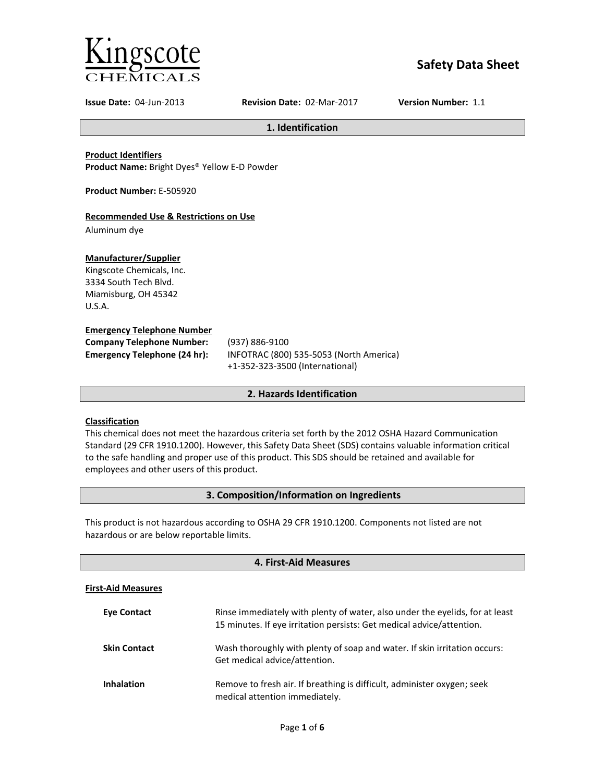

# **Safety Data Sheet**

**Issue Date:** 04-Jun-2013 **Revision Date:** 02-Mar-2017 **Version Number:** 1.1

**1. Identification**

**Product Identifiers**

**Product Name:** Bright Dyes® Yellow E-D Powder

**Product Number:** E-505920

# **Recommended Use & Restrictions on Use**

Aluminum dye

# **Manufacturer/Supplier**

Kingscote Chemicals, Inc. 3334 South Tech Blvd. Miamisburg, OH 45342 U.S.A.

# **Emergency Telephone Number**

| <b>Company Telephone Number:</b>    | (93)            |
|-------------------------------------|-----------------|
| <b>Emergency Telephone (24 hr):</b> | IN <sub>F</sub> |
|                                     |                 |

**Company Telephone Number:** (937) 886-9100 **Emergency Telephone (24 hr):** INFOTRAC (800) 535-5053 (North America) +1-352-323-3500 (International)

# **2. Hazards Identification**

# **Classification**

This chemical does not meet the hazardous criteria set forth by the 2012 OSHA Hazard Communication Standard (29 CFR 1910.1200). However, this Safety Data Sheet (SDS) contains valuable information critical to the safe handling and proper use of this product. This SDS should be retained and available for employees and other users of this product.

# **3. Composition/Information on Ingredients**

This product is not hazardous according to OSHA 29 CFR 1910.1200. Components not listed are not hazardous or are below reportable limits.

| 4. First-Aid Measures     |                                                                                                                                                       |  |
|---------------------------|-------------------------------------------------------------------------------------------------------------------------------------------------------|--|
| <b>First-Aid Measures</b> |                                                                                                                                                       |  |
| <b>Eve Contact</b>        | Rinse immediately with plenty of water, also under the eyelids, for at least<br>15 minutes. If eye irritation persists: Get medical advice/attention. |  |
| <b>Skin Contact</b>       | Wash thoroughly with plenty of soap and water. If skin irritation occurs:<br>Get medical advice/attention.                                            |  |
| <b>Inhalation</b>         | Remove to fresh air. If breathing is difficult, administer oxygen; seek<br>medical attention immediately.                                             |  |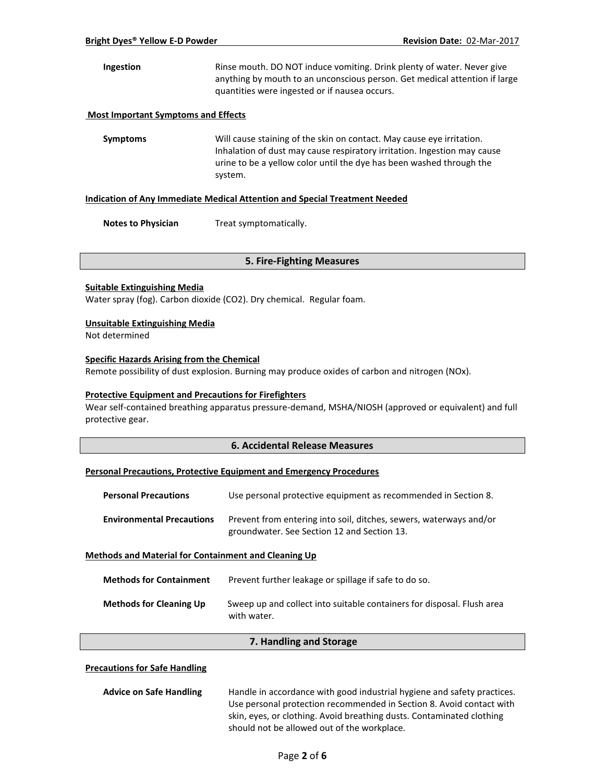**Ingestion** Rinse mouth. DO NOT induce vomiting. Drink plenty of water. Never give anything by mouth to an unconscious person. Get medical attention if large quantities were ingested or if nausea occurs.

### **Most Important Symptoms and Effects**

**Symptoms** Will cause staining of the skin on contact. May cause eye irritation. Inhalation of dust may cause respiratory irritation. Ingestion may cause urine to be a yellow color until the dye has been washed through the system.

#### **Indication of Any Immediate Medical Attention and Special Treatment Needed**

**Notes to Physician** Treat symptomatically.

#### **5. Fire-Fighting Measures**

#### **Suitable Extinguishing Media**

Water spray (fog). Carbon dioxide (CO2). Dry chemical. Regular foam.

#### **Unsuitable Extinguishing Media**

Not determined

# **Specific Hazards Arising from the Chemical**

Remote possibility of dust explosion. Burning may produce oxides of carbon and nitrogen (NOx).

#### **Protective Equipment and Precautions for Firefighters**

Wear self-contained breathing apparatus pressure-demand, MSHA/NIOSH (approved or equivalent) and full protective gear.

# **6. Accidental Release Measures**

#### **Personal Precautions, Protective Equipment and Emergency Procedures**

| <b>Personal Precautions</b>                                 | Use personal protective equipment as recommended in Section 8.                                                    |
|-------------------------------------------------------------|-------------------------------------------------------------------------------------------------------------------|
| <b>Environmental Precautions</b>                            | Prevent from entering into soil, ditches, sewers, waterways and/or<br>groundwater. See Section 12 and Section 13. |
| <b>Methods and Material for Containment and Cleaning Up</b> |                                                                                                                   |

| <b>Methods for Containment</b> | Prevent further leakage or spillage if safe to do so.                                 |
|--------------------------------|---------------------------------------------------------------------------------------|
| <b>Methods for Cleaning Up</b> | Sweep up and collect into suitable containers for disposal. Flush area<br>with water. |

#### **7. Handling and Storage**

#### **Precautions for Safe Handling**

| <b>Advice on Safe Handling</b> | Handle in accordance with good industrial hygiene and safety practices. |
|--------------------------------|-------------------------------------------------------------------------|
|                                | Use personal protection recommended in Section 8. Avoid contact with    |
|                                | skin, eyes, or clothing. Avoid breathing dusts. Contaminated clothing   |
|                                | should not be allowed out of the workplace.                             |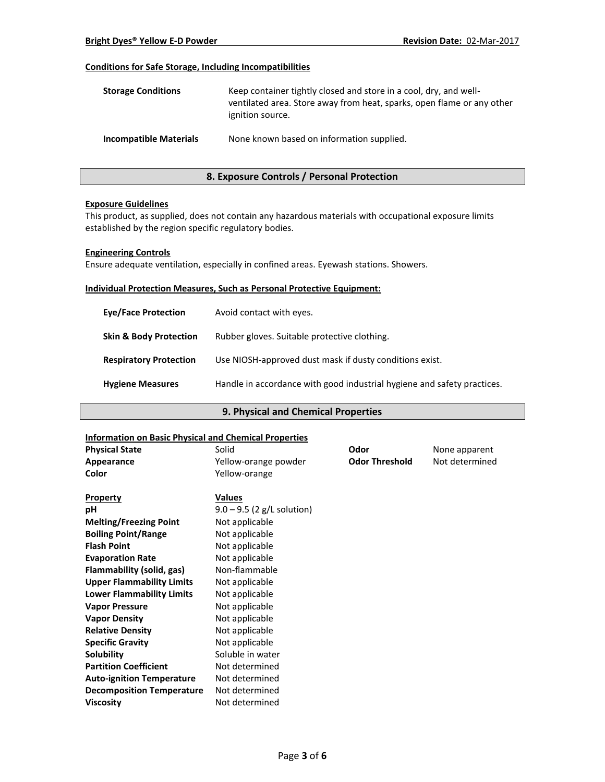# **Conditions for Safe Storage, Including Incompatibilities**

| <b>Storage Conditions</b>     | Keep container tightly closed and store in a cool, dry, and well-<br>ventilated area. Store away from heat, sparks, open flame or any other<br>ignition source. |
|-------------------------------|-----------------------------------------------------------------------------------------------------------------------------------------------------------------|
| <b>Incompatible Materials</b> | None known based on information supplied.                                                                                                                       |

# **8. Exposure Controls / Personal Protection**

#### **Exposure Guidelines**

This product, as supplied, does not contain any hazardous materials with occupational exposure limits established by the region specific regulatory bodies.

#### **Engineering Controls**

Ensure adequate ventilation, especially in confined areas. Eyewash stations. Showers.

#### **Individual Protection Measures, Such as Personal Protective Equipment:**

| <b>Eve/Face Protection</b>        | Avoid contact with eyes.                                                |
|-----------------------------------|-------------------------------------------------------------------------|
| <b>Skin &amp; Body Protection</b> | Rubber gloves. Suitable protective clothing.                            |
| <b>Respiratory Protection</b>     | Use NIOSH-approved dust mask if dusty conditions exist.                 |
| <b>Hygiene Measures</b>           | Handle in accordance with good industrial hygiene and safety practices. |

# **9. Physical and Chemical Properties**

# **Information on Basic Physical and Chemical Properties**

| mionination on basic rinysical and chemical ribberties |                                               |      |                |
|--------------------------------------------------------|-----------------------------------------------|------|----------------|
| <b>Physical State</b>                                  | Solid                                         | Odor | None apparent  |
| Appearance                                             | <b>Odor Threshold</b><br>Yellow-orange powder |      | Not determined |
| Color                                                  | Yellow-orange                                 |      |                |
| <b>Property</b>                                        | <b>Values</b>                                 |      |                |
| рH                                                     | $9.0 - 9.5$ (2 g/L solution)                  |      |                |
| <b>Melting/Freezing Point</b>                          | Not applicable                                |      |                |
| <b>Boiling Point/Range</b>                             | Not applicable                                |      |                |
| <b>Flash Point</b>                                     | Not applicable                                |      |                |
| <b>Evaporation Rate</b>                                | Not applicable                                |      |                |
| Flammability (solid, gas)                              | Non-flammable                                 |      |                |
| <b>Upper Flammability Limits</b>                       | Not applicable                                |      |                |
| <b>Lower Flammability Limits</b>                       | Not applicable                                |      |                |
| <b>Vapor Pressure</b>                                  | Not applicable                                |      |                |
| <b>Vapor Density</b>                                   | Not applicable                                |      |                |
| <b>Relative Density</b>                                | Not applicable                                |      |                |
| <b>Specific Gravity</b>                                | Not applicable                                |      |                |
| Solubility                                             | Soluble in water                              |      |                |
| <b>Partition Coefficient</b>                           | Not determined                                |      |                |
| <b>Auto-ignition Temperature</b>                       | Not determined                                |      |                |
| <b>Decomposition Temperature</b>                       | Not determined                                |      |                |
| <b>Viscosity</b>                                       | Not determined                                |      |                |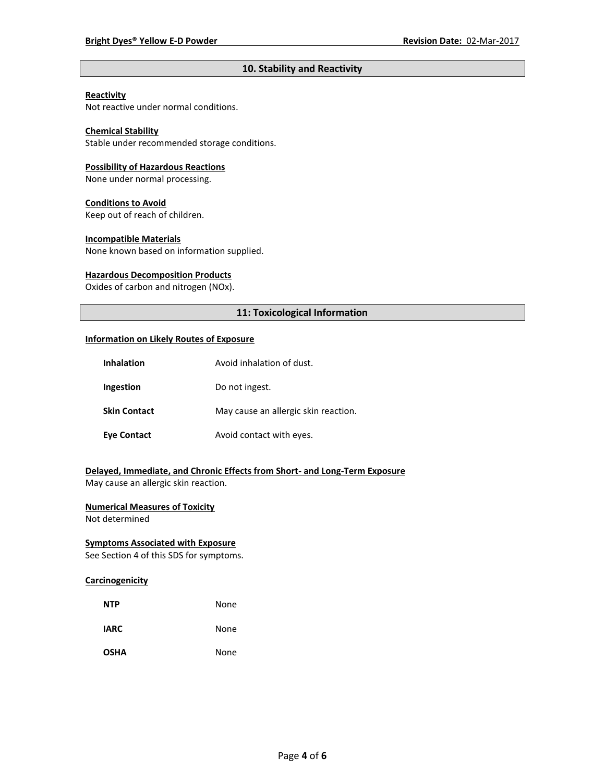# **10. Stability and Reactivity**

# **Reactivity**

Not reactive under normal conditions.

# **Chemical Stability**

Stable under recommended storage conditions.

#### **Possibility of Hazardous Reactions**

None under normal processing.

#### **Conditions to Avoid**

Keep out of reach of children.

#### **Incompatible Materials**

None known based on information supplied.

#### **Hazardous Decomposition Products**

Oxides of carbon and nitrogen (NOx).

# **11: Toxicological Information**

#### **Information on Likely Routes of Exposure**

| <b>Inhalation</b>   | Avoid inhalation of dust.            |
|---------------------|--------------------------------------|
| Ingestion           | Do not ingest.                       |
| <b>Skin Contact</b> | May cause an allergic skin reaction. |
| <b>Eye Contact</b>  | Avoid contact with eyes.             |

# **Delayed, Immediate, and Chronic Effects from Short- and Long-Term Exposure**

May cause an allergic skin reaction.

# **Numerical Measures of Toxicity**

Not determined

# **Symptoms Associated with Exposure**

See Section 4 of this SDS for symptoms.

# **Carcinogenicity**

| <b>NTP</b>  | None |
|-------------|------|
| <b>IARC</b> | None |
| <b>OSHA</b> | None |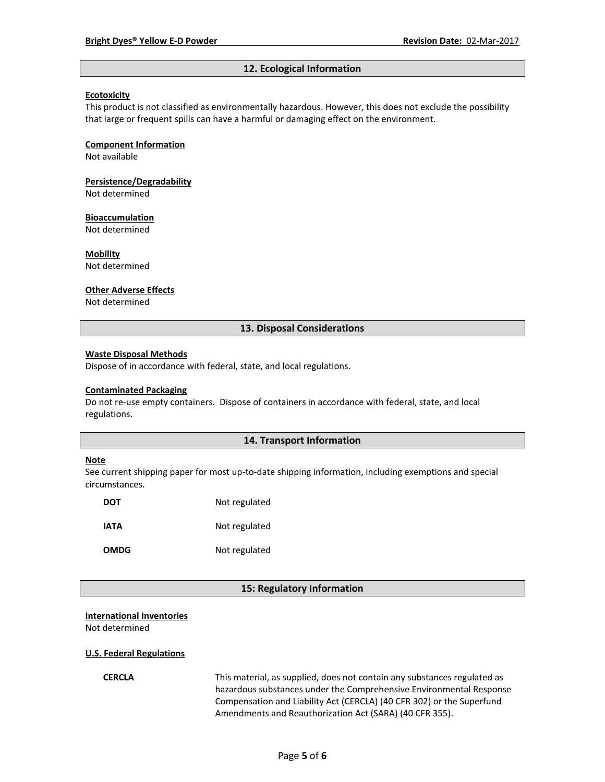#### **12. Ecological Information**

#### **Ecotoxicity**

This product is not classified as environmentally hazardous. However, this does not exclude the possibility that large or frequent spills can have a harmful or damaging effect on the environment.

#### **Component Information**

Not available

# **Persistence/Degradability**

Not determined

#### **Bioaccumulation**

Not determined

#### **Mobility**

Not determined

#### **Other Adverse Effects**

Not determined

#### **13. Disposal Considerations**

#### **Waste Disposal Methods**

Dispose of in accordance with federal, state, and local regulations.

#### **Contaminated Packaging**

Do not re-use empty containers.Dispose of containers in accordance with federal, state, and local regulations.

### **14. Transport Information**

#### **Note**

See current shipping paper for most up-to-date shipping information, including exemptions and special circumstances.

| DOT         | Not regulated |
|-------------|---------------|
| IATA        | Not regulated |
| <b>OMDG</b> | Not regulated |

#### **15: Regulatory Information**

# **International Inventories**

Not determined

#### **U.S. Federal Regulations**

**CERCLA** This material, as supplied, does not contain any substances regulated as hazardous substances under the Comprehensive Environmental Response Compensation and Liability Act (CERCLA) (40 CFR 302) or the Superfund Amendments and Reauthorization Act (SARA) (40 CFR 355).